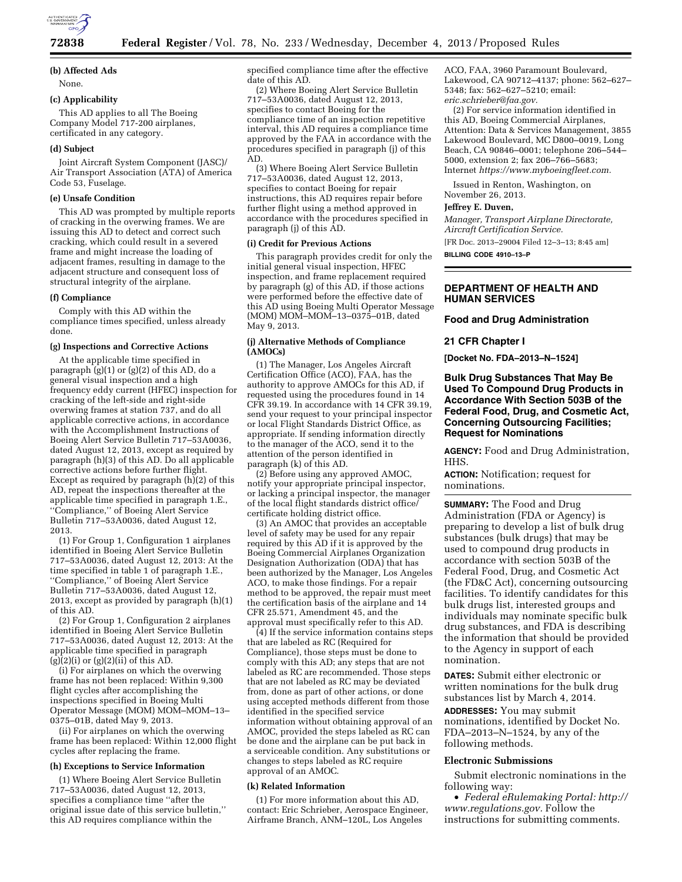

## **72838 Federal Register** / Vol. 78, No. 233 / Wednesday, December 4, 2013 / Proposed Rules

# **(b) Affected Ads**

None.

#### **(c) Applicability**

This AD applies to all The Boeing Company Model 717-200 airplanes, certificated in any category.

#### **(d) Subject**

Joint Aircraft System Component (JASC)/ Air Transport Association (ATA) of America Code 53, Fuselage.

#### **(e) Unsafe Condition**

This AD was prompted by multiple reports of cracking in the overwing frames. We are issuing this AD to detect and correct such cracking, which could result in a severed frame and might increase the loading of adjacent frames, resulting in damage to the adjacent structure and consequent loss of structural integrity of the airplane.

## **(f) Compliance**

Comply with this AD within the compliance times specified, unless already done.

### **(g) Inspections and Corrective Actions**

At the applicable time specified in paragraph (g)(1) or (g)(2) of this AD, do a general visual inspection and a high frequency eddy current (HFEC) inspection for cracking of the left-side and right-side overwing frames at station 737, and do all applicable corrective actions, in accordance with the Accomplishment Instructions of Boeing Alert Service Bulletin 717–53A0036, dated August 12, 2013, except as required by paragraph (h)(3) of this AD. Do all applicable corrective actions before further flight. Except as required by paragraph (h)(2) of this AD, repeat the inspections thereafter at the applicable time specified in paragraph 1.E., ''Compliance,'' of Boeing Alert Service Bulletin 717–53A0036, dated August 12, 2013.

(1) For Group 1, Configuration 1 airplanes identified in Boeing Alert Service Bulletin 717–53A0036, dated August 12, 2013: At the time specified in table 1 of paragraph 1.E., ''Compliance,'' of Boeing Alert Service Bulletin 717–53A0036, dated August 12, 2013, except as provided by paragraph (h)(1) of this AD.

(2) For Group 1, Configuration 2 airplanes identified in Boeing Alert Service Bulletin 717–53A0036, dated August 12, 2013: At the applicable time specified in paragraph  $(g)(2)(i)$  or  $(g)(2)(ii)$  of this AD.

(i) For airplanes on which the overwing frame has not been replaced: Within 9,300 flight cycles after accomplishing the inspections specified in Boeing Multi Operator Message (MOM) MOM–MOM–13– 0375–01B, dated May 9, 2013.

(ii) For airplanes on which the overwing frame has been replaced: Within 12,000 flight cycles after replacing the frame.

## **(h) Exceptions to Service Information**

(1) Where Boeing Alert Service Bulletin 717–53A0036, dated August 12, 2013, specifies a compliance time ''after the original issue date of this service bulletin,'' this AD requires compliance within the

specified compliance time after the effective date of this AD.

(2) Where Boeing Alert Service Bulletin 717–53A0036, dated August 12, 2013, specifies to contact Boeing for the compliance time of an inspection repetitive interval, this AD requires a compliance time approved by the FAA in accordance with the procedures specified in paragraph (j) of this AD.

(3) Where Boeing Alert Service Bulletin 717–53A0036, dated August 12, 2013, specifies to contact Boeing for repair instructions, this AD requires repair before further flight using a method approved in accordance with the procedures specified in paragraph (j) of this AD.

#### **(i) Credit for Previous Actions**

This paragraph provides credit for only the initial general visual inspection, HFEC inspection, and frame replacement required by paragraph (g) of this AD, if those actions were performed before the effective date of this AD using Boeing Multi Operator Message (MOM) MOM–MOM–13–0375–01B, dated May 9, 2013.

## **(j) Alternative Methods of Compliance (AMOCs)**

(1) The Manager, Los Angeles Aircraft Certification Office (ACO), FAA, has the authority to approve AMOCs for this AD, if requested using the procedures found in 14 CFR 39.19. In accordance with 14 CFR 39.19, send your request to your principal inspector or local Flight Standards District Office, as appropriate. If sending information directly to the manager of the ACO, send it to the attention of the person identified in paragraph (k) of this AD.

(2) Before using any approved AMOC, notify your appropriate principal inspector, or lacking a principal inspector, the manager of the local flight standards district office/ certificate holding district office.

(3) An AMOC that provides an acceptable level of safety may be used for any repair required by this AD if it is approved by the Boeing Commercial Airplanes Organization Designation Authorization (ODA) that has been authorized by the Manager, Los Angeles ACO, to make those findings. For a repair method to be approved, the repair must meet the certification basis of the airplane and 14 CFR 25.571, Amendment 45, and the approval must specifically refer to this AD.

(4) If the service information contains steps that are labeled as RC (Required for Compliance), those steps must be done to comply with this AD; any steps that are not labeled as RC are recommended. Those steps that are not labeled as RC may be deviated from, done as part of other actions, or done using accepted methods different from those identified in the specified service information without obtaining approval of an AMOC, provided the steps labeled as RC can be done and the airplane can be put back in a serviceable condition. Any substitutions or changes to steps labeled as RC require approval of an AMOC.

#### **(k) Related Information**

(1) For more information about this AD, contact: Eric Schrieber, Aerospace Engineer, Airframe Branch, ANM–120L, Los Angeles

ACO, FAA, 3960 Paramount Boulevard, Lakewood, CA 90712–4137; phone: 562–627– 5348; fax: 562–627–5210; email: *[eric.schrieber@faa.gov.](mailto:eric.schrieber@faa.gov)* 

(2) For service information identified in this AD, Boeing Commercial Airplanes, Attention: Data & Services Management, 3855 Lakewood Boulevard, MC D800–0019, Long Beach, CA 90846–0001; telephone 206–544– 5000, extension 2; fax 206–766–5683; Internet *[https://www.myboeingfleet.com.](https://www.myboeingfleet.com)* 

Issued in Renton, Washington, on November 26, 2013.

#### **Jeffrey E. Duven,**

*Manager, Transport Airplane Directorate, Aircraft Certification Service.* 

[FR Doc. 2013–29004 Filed 12–3–13; 8:45 am]

**BILLING CODE 4910–13–P** 

# **DEPARTMENT OF HEALTH AND HUMAN SERVICES**

#### **Food and Drug Administration**

### **21 CFR Chapter I**

**[Docket No. FDA–2013–N–1524]** 

# **Bulk Drug Substances That May Be Used To Compound Drug Products in Accordance With Section 503B of the Federal Food, Drug, and Cosmetic Act, Concerning Outsourcing Facilities; Request for Nominations**

**AGENCY:** Food and Drug Administration, HHS.

**ACTION:** Notification; request for nominations.

**SUMMARY:** The Food and Drug Administration (FDA or Agency) is preparing to develop a list of bulk drug substances (bulk drugs) that may be used to compound drug products in accordance with section 503B of the Federal Food, Drug, and Cosmetic Act (the FD&C Act), concerning outsourcing facilities. To identify candidates for this bulk drugs list, interested groups and individuals may nominate specific bulk drug substances, and FDA is describing the information that should be provided to the Agency in support of each nomination.

**DATES:** Submit either electronic or written nominations for the bulk drug substances list by March 4, 2014.

**ADDRESSES:** You may submit nominations, identified by Docket No. FDA–2013–N–1524, by any of the following methods.

#### **Electronic Submissions**

Submit electronic nominations in the following way:

• *Federal eRulemaking Portal: [http://](http://www.regulations.gov)  [www.regulations.gov.](http://www.regulations.gov)* Follow the instructions for submitting comments.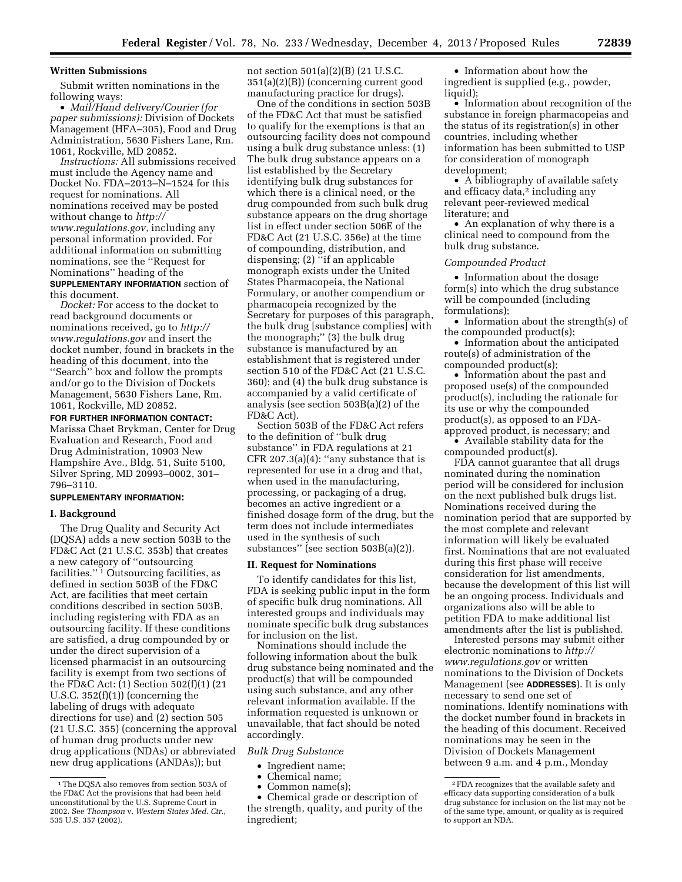# **Written Submissions**

Submit written nominations in the following ways:

• *Mail/Hand delivery/Courier (for paper submissions):* Division of Dockets Management (HFA–305), Food and Drug Administration, 5630 Fishers Lane, Rm. 1061, Rockville, MD 20852.

*Instructions:* All submissions received must include the Agency name and Docket No. FDA–2013–N–1524 for this request for nominations. All nominations received may be posted without change to *[http://](http://www.regulations.gov) [www.regulations.gov,](http://www.regulations.gov)* including any personal information provided. For additional information on submitting nominations, see the ''Request for Nominations'' heading of the **SUPPLEMENTARY INFORMATION** section of this document.

*Docket:* For access to the docket to read background documents or nominations received, go to *[http://](http://www.regulations.gov) [www.regulations.gov](http://www.regulations.gov)* and insert the docket number, found in brackets in the heading of this document, into the ''Search'' box and follow the prompts and/or go to the Division of Dockets Management, 5630 Fishers Lane, Rm. 1061, Rockville, MD 20852.

**FOR FURTHER INFORMATION CONTACT:** 

Marissa Chaet Brykman, Center for Drug Evaluation and Research, Food and Drug Administration, 10903 New Hampshire Ave., Bldg. 51, Suite 5100, Silver Spring, MD 20993–0002, 301– 796–3110.

### **SUPPLEMENTARY INFORMATION:**

## **I. Background**

The Drug Quality and Security Act (DQSA) adds a new section 503B to the FD&C Act (21 U.S.C. 353b) that creates a new category of ''outsourcing facilities.'' 1 Outsourcing facilities, as defined in section 503B of the FD&C Act, are facilities that meet certain conditions described in section 503B, including registering with FDA as an outsourcing facility. If these conditions are satisfied, a drug compounded by or under the direct supervision of a licensed pharmacist in an outsourcing facility is exempt from two sections of the FD&C Act: (1) Section 502(f)(1) (21 U.S.C. 352(f)(1)) (concerning the labeling of drugs with adequate directions for use) and (2) section 505 (21 U.S.C. 355) (concerning the approval of human drug products under new drug applications (NDAs) or abbreviated new drug applications (ANDAs)); but

not section 501(a)(2)(B) (21 U.S.C. 351(a)(2)(B)) (concerning current good manufacturing practice for drugs).

One of the conditions in section 503B of the FD&C Act that must be satisfied to qualify for the exemptions is that an outsourcing facility does not compound using a bulk drug substance unless: (1) The bulk drug substance appears on a list established by the Secretary identifying bulk drug substances for which there is a clinical need, or the drug compounded from such bulk drug substance appears on the drug shortage list in effect under section 506E of the FD&C Act (21 U.S.C. 356e) at the time of compounding, distribution, and dispensing; (2) ''if an applicable monograph exists under the United States Pharmacopeia, the National Formulary, or another compendium or pharmacopeia recognized by the Secretary for purposes of this paragraph, the bulk drug [substance complies] with the monograph;'' (3) the bulk drug substance is manufactured by an establishment that is registered under section 510 of the FD&C Act (21 U.S.C. 360); and (4) the bulk drug substance is accompanied by a valid certificate of analysis (see section 503B(a)(2) of the FD&C Act).

Section 503B of the FD&C Act refers to the definition of ''bulk drug substance'' in FDA regulations at 21 CFR 207.3(a)(4): ''any substance that is represented for use in a drug and that, when used in the manufacturing, processing, or packaging of a drug, becomes an active ingredient or a finished dosage form of the drug, but the term does not include intermediates used in the synthesis of such substances'' (see section 503B(a)(2)).

### **II. Request for Nominations**

To identify candidates for this list, FDA is seeking public input in the form of specific bulk drug nominations. All interested groups and individuals may nominate specific bulk drug substances for inclusion on the list.

Nominations should include the following information about the bulk drug substance being nominated and the product(s) that will be compounded using such substance, and any other relevant information available. If the information requested is unknown or unavailable, that fact should be noted accordingly.

*Bulk Drug Substance* 

- Ingredient name;
- Chemical name;
- Common name(s);

• Chemical grade or description of the strength, quality, and purity of the ingredient;

• Information about how the ingredient is supplied (e.g., powder, liquid);

• Information about recognition of the substance in foreign pharmacopeias and the status of its registration(s) in other countries, including whether information has been submitted to USP for consideration of monograph development;

• A bibliography of available safety and efficacy data,<sup>2</sup> including any relevant peer-reviewed medical literature; and

• An explanation of why there is a clinical need to compound from the bulk drug substance.

#### *Compounded Product*

• Information about the dosage form(s) into which the drug substance will be compounded (including formulations);

• Information about the strength(s) of the compounded product(s);

• Information about the anticipated route(s) of administration of the compounded product(s);

• Information about the past and proposed use(s) of the compounded product(s), including the rationale for its use or why the compounded product(s), as opposed to an FDAapproved product, is necessary; and

• Available stability data for the compounded product(s).

FDA cannot guarantee that all drugs nominated during the nomination period will be considered for inclusion on the next published bulk drugs list. Nominations received during the nomination period that are supported by the most complete and relevant information will likely be evaluated first. Nominations that are not evaluated during this first phase will receive consideration for list amendments, because the development of this list will be an ongoing process. Individuals and organizations also will be able to petition FDA to make additional list amendments after the list is published.

Interested persons may submit either electronic nominations to *[http://](http://www.regulations.gov) [www.regulations.gov](http://www.regulations.gov)* or written nominations to the Division of Dockets Management (see **ADDRESSES**). It is only necessary to send one set of nominations. Identify nominations with the docket number found in brackets in the heading of this document. Received nominations may be seen in the Division of Dockets Management between 9 a.m. and 4 p.m., Monday

<sup>1</sup>The DQSA also removes from section 503A of the FD&C Act the provisions that had been held unconstitutional by the U.S. Supreme Court in 2002. See *Thompson* v. *Western States Med. Ctr.,*  535 U.S. 357 (2002).

<sup>2</sup>FDA recognizes that the available safety and efficacy data supporting consideration of a bulk drug substance for inclusion on the list may not be of the same type, amount, or quality as is required to support an NDA.